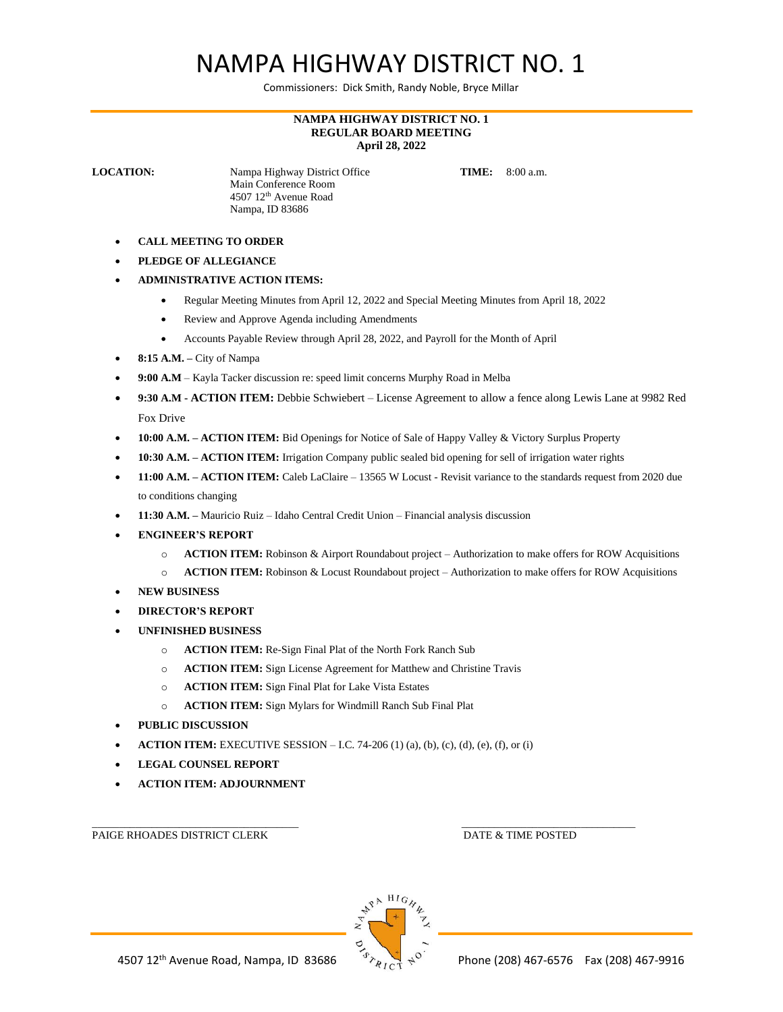## NAMPA HIGHWAY DISTRICT NO. 1

Commissioners: Dick Smith, Randy Noble, Bryce Millar

## **NAMPA HIGHWAY DISTRICT NO. 1 REGULAR BOARD MEETING April 28, 2022**

**LOCATION:** Nampa Highway District Office **TIME:** 8:00 a.m. Main Conference Room 4507 12th Avenue Road Nampa, ID 83686

- **CALL MEETING TO ORDER**
- **PLEDGE OF ALLEGIANCE**
- **ADMINISTRATIVE ACTION ITEMS:**
	- Regular Meeting Minutes from April 12, 2022 and Special Meeting Minutes from April 18, 2022
	- Review and Approve Agenda including Amendments
	- Accounts Payable Review through April 28, 2022, and Payroll for the Month of April
- **8:15 A.M. –** City of Nampa
- **9:00 A.M** Kayla Tacker discussion re: speed limit concerns Murphy Road in Melba
- **9:30 A.M - ACTION ITEM:** Debbie Schwiebert License Agreement to allow a fence along Lewis Lane at 9982 Red Fox Drive
- **10:00 A.M. – ACTION ITEM:** Bid Openings for Notice of Sale of Happy Valley & Victory Surplus Property
- **10:30 A.M. – ACTION ITEM:** Irrigation Company public sealed bid opening for sell of irrigation water rights
- **11:00 A.M. ACTION ITEM:** Caleb LaClaire 13565 W Locust Revisit variance to the standards request from 2020 due to conditions changing
- **11:30 A.M. –** Mauricio Ruiz Idaho Central Credit Union Financial analysis discussion
- **ENGINEER'S REPORT**
	- o **ACTION ITEM:** Robinson & Airport Roundabout project Authorization to make offers for ROW Acquisitions
	- o **ACTION ITEM:** Robinson & Locust Roundabout project Authorization to make offers for ROW Acquisitions
- **NEW BUSINESS**
- **DIRECTOR'S REPORT**
- **UNFINISHED BUSINESS**
	- o **ACTION ITEM:** Re-Sign Final Plat of the North Fork Ranch Sub
	- o **ACTION ITEM:** Sign License Agreement for Matthew and Christine Travis
	- o **ACTION ITEM:** Sign Final Plat for Lake Vista Estates
	- o **ACTION ITEM:** Sign Mylars for Windmill Ranch Sub Final Plat
- **PUBLIC DISCUSSION**
- **ACTION ITEM:** EXECUTIVE SESSION I.C. 74-206 (1) (a), (b), (c), (d), (e), (f), or (i)
- **LEGAL COUNSEL REPORT**
- **ACTION ITEM: ADJOURNMENT**

PAIGE RHOADES DISTRICT CLERK DATE & TIME POSTED



 $\Box$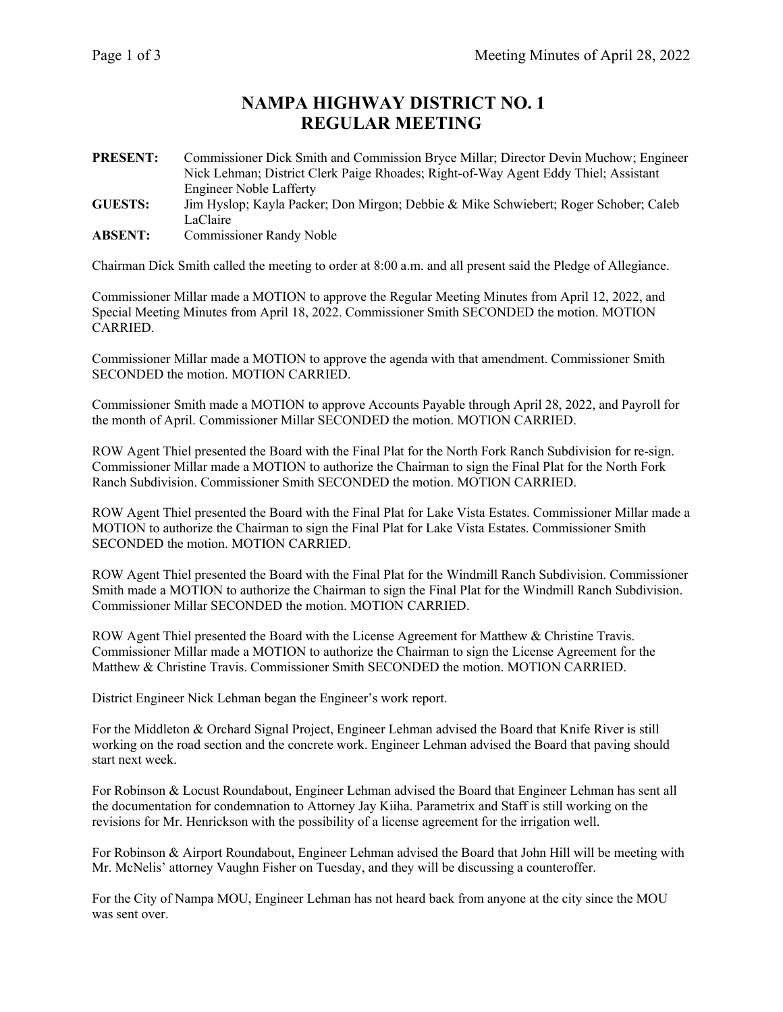## **NAMPA HIGHWAY DISTRICT NO. 1 REGULAR MEETING**

**PRESENT:** Commissioner Dick Smith and Commission Bryce Millar; Director Devin Muchow; Engineer Nick Lehman; District Clerk Paige Rhoades; Right-of-Way Agent Eddy Thiel; Assistant Engineer Noble Lafferty

**GUESTS:** Jim Hyslop; Kayla Packer; Don Mirgon; Debbie & Mike Schwiebert; Roger Schober; Caleb LaClaire

**ABSENT:** Commissioner Randy Noble

Chairman Dick Smith called the meeting to order at 8:00 a.m. and all present said the Pledge of Allegiance.

Commissioner Millar made a MOTION to approve the Regular Meeting Minutes from April 12, 2022, and Special Meeting Minutes from April 18, 2022. Commissioner Smith SECONDED the motion. MOTION CARRIED.

Commissioner Millar made a MOTION to approve the agenda with that amendment. Commissioner Smith SECONDED the motion. MOTION CARRIED.

Commissioner Smith made a MOTION to approve Accounts Payable through April 28, 2022, and Payroll for the month of April. Commissioner Millar SECONDED the motion. MOTION CARRIED.

ROW Agent Thiel presented the Board with the Final Plat for the North Fork Ranch Subdivision for re-sign. Commissioner Millar made a MOTION to authorize the Chairman to sign the Final Plat for the North Fork Ranch Subdivision. Commissioner Smith SECONDED the motion. MOTION CARRIED.

ROW Agent Thiel presented the Board with the Final Plat for Lake Vista Estates. Commissioner Millar made a MOTION to authorize the Chairman to sign the Final Plat for Lake Vista Estates. Commissioner Smith SECONDED the motion. MOTION CARRIED.

ROW Agent Thiel presented the Board with the Final Plat for the Windmill Ranch Subdivision. Commissioner Smith made a MOTION to authorize the Chairman to sign the Final Plat for the Windmill Ranch Subdivision. Commissioner Millar SECONDED the motion. MOTION CARRIED.

ROW Agent Thiel presented the Board with the License Agreement for Matthew & Christine Travis. Commissioner Millar made a MOTION to authorize the Chairman to sign the License Agreement for the Matthew & Christine Travis. Commissioner Smith SECONDED the motion. MOTION CARRIED.

District Engineer Nick Lehman began the Engineer's work report.

For the Middleton & Orchard Signal Project, Engineer Lehman advised the Board that Knife River is still working on the road section and the concrete work. Engineer Lehman advised the Board that paving should start next week.

For Robinson & Locust Roundabout, Engineer Lehman advised the Board that Engineer Lehman has sent all the documentation for condemnation to Attorney Jay Kiiha. Parametrix and Staff is still working on the revisions for Mr. Henrickson with the possibility of a license agreement for the irrigation well.

For Robinson & Airport Roundabout, Engineer Lehman advised the Board that John Hill will be meeting with Mr. McNelis' attorney Vaughn Fisher on Tuesday, and they will be discussing a counteroffer.

For the City of Nampa MOU, Engineer Lehman has not heard back from anyone at the city since the MOU was sent over.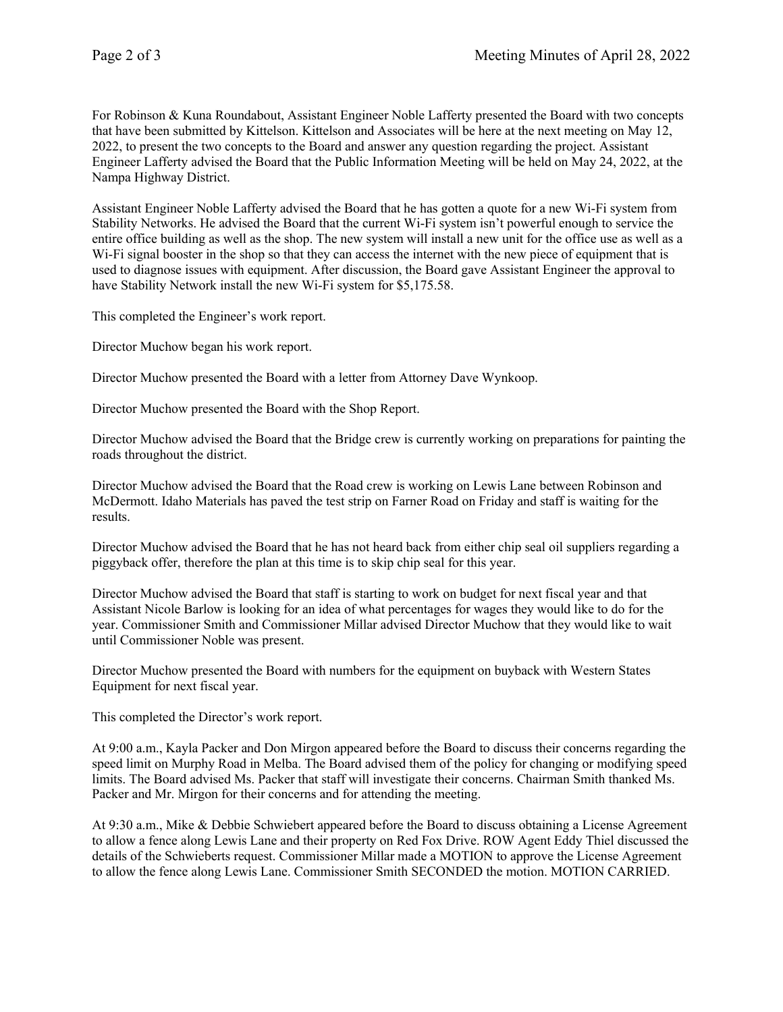For Robinson & Kuna Roundabout, Assistant Engineer Noble Lafferty presented the Board with two concepts that have been submitted by Kittelson. Kittelson and Associates will be here at the next meeting on May 12, 2022, to present the two concepts to the Board and answer any question regarding the project. Assistant Engineer Lafferty advised the Board that the Public Information Meeting will be held on May 24, 2022, at the Nampa Highway District.

Assistant Engineer Noble Lafferty advised the Board that he has gotten a quote for a new Wi-Fi system from Stability Networks. He advised the Board that the current Wi-Fi system isn't powerful enough to service the entire office building as well as the shop. The new system will install a new unit for the office use as well as a W<sub>i-Fi</sub> signal booster in the shop so that they can access the internet with the new piece of equipment that is used to diagnose issues with equipment. After discussion, the Board gave Assistant Engineer the approval to have Stability Network install the new Wi-Fi system for \$5,175.58.

This completed the Engineer's work report.

Director Muchow began his work report.

Director Muchow presented the Board with a letter from Attorney Dave Wynkoop.

Director Muchow presented the Board with the Shop Report.

Director Muchow advised the Board that the Bridge crew is currently working on preparations for painting the roads throughout the district.

Director Muchow advised the Board that the Road crew is working on Lewis Lane between Robinson and McDermott. Idaho Materials has paved the test strip on Farner Road on Friday and staff is waiting for the results.

Director Muchow advised the Board that he has not heard back from either chip seal oil suppliers regarding a piggyback offer, therefore the plan at this time is to skip chip seal for this year.

Director Muchow advised the Board that staff is starting to work on budget for next fiscal year and that Assistant Nicole Barlow is looking for an idea of what percentages for wages they would like to do for the year. Commissioner Smith and Commissioner Millar advised Director Muchow that they would like to wait until Commissioner Noble was present.

Director Muchow presented the Board with numbers for the equipment on buyback with Western States Equipment for next fiscal year.

This completed the Director's work report.

At 9:00 a.m., Kayla Packer and Don Mirgon appeared before the Board to discuss their concerns regarding the speed limit on Murphy Road in Melba. The Board advised them of the policy for changing or modifying speed limits. The Board advised Ms. Packer that staff will investigate their concerns. Chairman Smith thanked Ms. Packer and Mr. Mirgon for their concerns and for attending the meeting.

At 9:30 a.m., Mike & Debbie Schwiebert appeared before the Board to discuss obtaining a License Agreement to allow a fence along Lewis Lane and their property on Red Fox Drive. ROW Agent Eddy Thiel discussed the details of the Schwieberts request. Commissioner Millar made a MOTION to approve the License Agreement to allow the fence along Lewis Lane. Commissioner Smith SECONDED the motion. MOTION CARRIED.